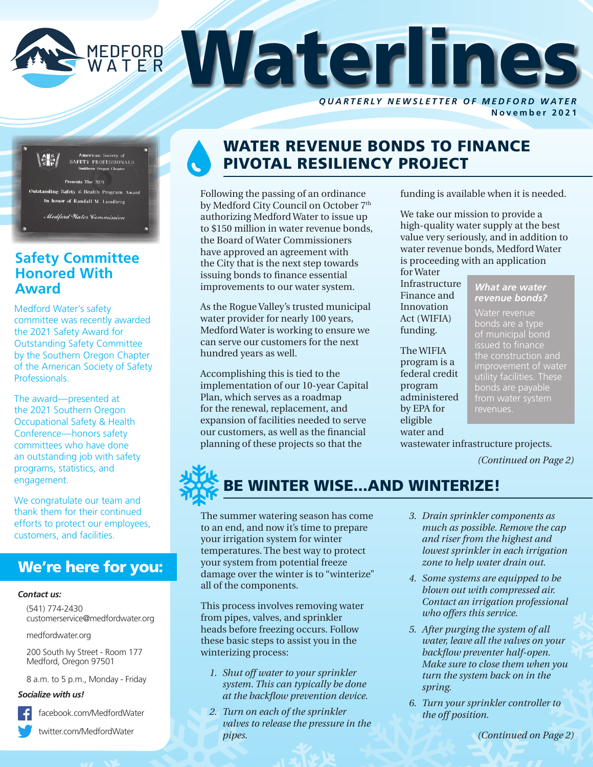

**N ovember 2021**



### **Safety Committee Honored With Award**

Medford Water's safety committee was recently awarded the 2021 Safety Award for Outstanding Safety Committee by the Southern Oregon Chapter of the American Society of Safety Professionals.

The award—presented at the 2021 Southern Oregon Occupational Safety & Health Conference—honors safety committees who have done an outstanding job with safety programs, statistics, and engagement.

We congratulate our team and thank them for their continued efforts to protect our employees, customers, and facilities.

### We're here for you:

#### *Contact us:*

(541) 774-2430 customerservice@medfordwater.org

medfordwater.org

200 South Ivy Street - Room 177 Medford, Oregon 97501

8 a.m. to 5 p.m., Monday - Friday

#### *Socialize with us!*

facebook.com/MedfordWater

twitter.com/MedfordWater

# WATER REVENUE BONDS TO FINANCE PIVOTAL RESILIENCY PROJECT

Following the passing of an ordinance by Medford City Council on October 7<sup>th</sup> authorizing Medford Water to issue up to \$150 million in water revenue bonds, the Board of Water Commissioners have approved an agreement with the City that is the next step towards issuing bonds to finance essential improvements to our water system.

As the Rogue Valley's trusted municipal water provider for nearly 100 years, Medford Water is working to ensure we can serve our customers for the next hundred years as well.

Accomplishing this is tied to the implementation of our 10-year Capital Plan, which serves as a roadmap for the renewal, replacement, and expansion of facilities needed to serve our customers, as well as the financial planning of these projects so that the

funding is available when it is needed.

We take our mission to provide a high-quality water supply at the best value very seriously, and in addition to water revenue bonds, Medford Water is proceeding with an application for Water

Infrastructure Finance and Innovation Act (WIFIA) funding.

The WIFIA program is a federal credit program administered by EPA for eligible water and

#### *What are water revenue bonds?*

bonds are a type of municipal bond issued to finance the construction and improvement of water bonds are payable

wastewater infrastructure projects.

*(Continued on Page 2)*



The summer watering season has come to an end, and now it's time to prepare your irrigation system for winter temperatures. The best way to protect your system from potential freeze damage over the winter is to "winterize" all of the components.

This process involves removing water from pipes, valves, and sprinkler heads before freezing occurs. Follow these basic steps to assist you in the winterizing process:

- *1. Shut off water to your sprinkler system. This can typically be done at the backflow prevention device.*
- *2. Turn on each of the sprinkler valves to release the pressure in the pipes.*
- *3. Drain sprinkler components as much as possible. Remove the cap and riser from the highest and lowest sprinkler in each irrigation zone to help water drain out.*
- *4. Some systems are equipped to be blown out with compressed air. Contact an irrigation professional who offers this service.*
- *5. After purging the system of all water, leave all the valves on your backflow preventer half-open. Make sure to close them when you turn the system back on in the spring.*
- *6. Turn your sprinkler controller to the off position.*

*(Continued on Page 2)*